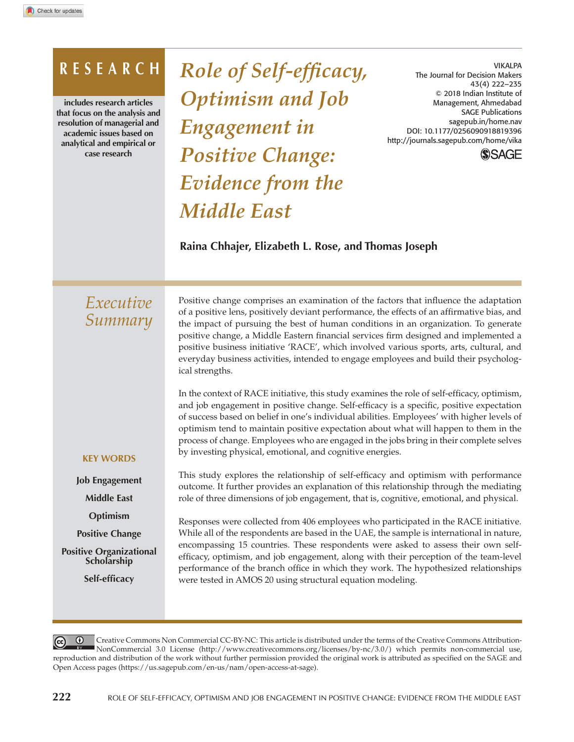# **RESEARCH**

**includes research articles that focus on the analysis and resolution of managerial and academic issues based on analytical and empirical or case research**

*Role of Self-efficacy, Optimism and Job Engagement in Positive Change: Evidence from the Middle East*

VIKALPA The Journal for Decision Makers 43(4) 222–235 © 2018 Indian Institute of Management, Ahmedabad SAGE Publications sagepub.in/home.nav DOI: 10.1177/0256090918819396 http://journals.sagepub.com/home/vika



# **Raina Chhajer, Elizabeth L. Rose, and Thomas Joseph**

# *Executive Summary*

 Positive change comprises an examination of the factors that influence the adaptation of a positive lens, positively deviant performance, the effects of an affirmative bias, and the impact of pursuing the best of human conditions in an organization. To generate positive change, a Middle Eastern financial services firm designed and implemented a positive business initiative 'RACE', which involved various sports, arts, cultural, and everyday business activities, intended to engage employees and build their psychological strengths.

 In the context of RACE initiative, this study examines the role of self-efficacy, optimism, and job engagement in positive change. Self-efficacy is a specific, positive expectation of success based on belief in one's individual abilities. Employees' with higher levels of optimism tend to maintain positive expectation about what will happen to them in the process of change. Employees who are engaged in the jobs bring in their complete selves by investing physical, emotional, and cognitive energies.

## **KEY WORDS**

**Job Engagement**

**Middle East**

**Optimism**

**Positive Change**

**Positive Organizational Scholarship**

**Self-efficacy**

 This study explores the relationship of self-efficacy and optimism with performance outcome. It further provides an explanation of this relationship through the mediating role of three dimensions of job engagement, that is, cognitive, emotional, and physical.

 Responses were collected from 406 employees who participated in the RACE initiative. While all of the respondents are based in the UAE, the sample is international in nature, encompassing 15 countries. These respondents were asked to assess their own selfefficacy, optimism, and job engagement, along with their perception of the team-level performance of the branch office in which they work. The hypothesized relationships were tested in AMOS 20 using structural equation modeling.

Creative Commons Non Commercial CC-BY-NC: This article is distributed under the terms of the Creative Commons Attribution-NonCommercial 3.0 License (http://www.creativecommons.org/licenses/by-nc/3.0/) which permits non-commercial use, reproduction and distribution of the work without further permission provided the original work is attributed as specified on the SAGE and Open Access pages (https://us.sagepub.com/en-us/nam/open-access-at-sage).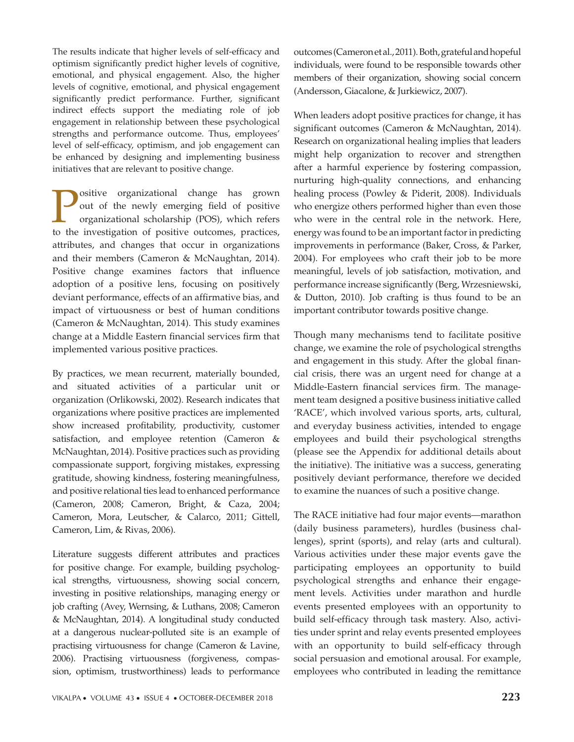The results indicate that higher levels of self-efficacy and optimism significantly predict higher levels of cognitive, emotional, and physical engagement. Also, the higher levels of cognitive, emotional, and physical engagement significantly predict performance. Further, significant indirect effects support the mediating role of job engagement in relationship between these psychological strengths and performance outcome. Thus, employees' level of self-efficacy, optimism, and job engagement can be enhanced by designing and implementing business initiatives that are relevant to positive change.

**P** ositive organizational change has grown out of the newly emerging field of positive organizational scholarship (POS), which refers to the investigation of positive outcomes, practices, ositive organizational change has grown out of the newly emerging field of positive organizational scholarship (POS), which refers attributes, and changes that occur in organizations and their members (Cameron & McNaughtan, 2014). Positive change examines factors that influence adoption of a positive lens, focusing on positively deviant performance, effects of an affirmative bias, and impact of virtuousness or best of human conditions (Cameron & McNaughtan, 2014). This study examines change at a Middle Eastern financial services firm that implemented various positive practices.

By practices, we mean recurrent, materially bounded, and situated activities of a particular unit or organization (Orlikowski, 2002). Research indicates that organizations where positive practices are implemented show increased profitability, productivity, customer satisfaction, and employee retention (Cameron & McNaughtan, 2014). Positive practices such as providing compassionate support, forgiving mistakes, expressing gratitude, showing kindness, fostering meaningfulness, and positive relational ties lead to enhanced performance (Cameron, 2008; Cameron, Bright, & Caza, 2004; Cameron, Mora, Leutscher, & Calarco, 2011; Gittell, Cameron, Lim, & Rivas, 2006).

Literature suggests different attributes and practices for positive change. For example, building psychological strengths, virtuousness, showing social concern, investing in positive relationships, managing energy or job crafting (Avey, Wernsing, & Luthans, 2008; Cameron & McNaughtan, 2014). A longitudinal study conducted at a dangerous nuclear-polluted site is an example of practising virtuousness for change (Cameron & Lavine, 2006). Practising virtuousness (forgiveness, compassion, optimism, trustworthiness) leads to performance outcomes (Cameron et al., 2011). Both, grateful and hopeful individuals, were found to be responsible towards other members of their organization, showing social concern (Andersson, Giacalone, & Jurkiewicz, 2007).

When leaders adopt positive practices for change, it has significant outcomes (Cameron & McNaughtan, 2014). Research on organizational healing implies that leaders might help organization to recover and strengthen after a harmful experience by fostering compassion, nurturing high-quality connections, and enhancing healing process (Powley & Piderit, 2008). Individuals who energize others performed higher than even those who were in the central role in the network. Here, energy was found to be an important factor in predicting improvements in performance (Baker, Cross, & Parker, 2004). For employees who craft their job to be more meaningful, levels of job satisfaction, motivation, and performance increase significantly (Berg, Wrzesniewski, & Dutton, 2010). Job crafting is thus found to be an important contributor towards positive change.

Though many mechanisms tend to facilitate positive change, we examine the role of psychological strengths and engagement in this study. After the global financial crisis, there was an urgent need for change at a Middle-Eastern financial services firm. The management team designed a positive business initiative called 'RACE', which involved various sports, arts, cultural, and everyday business activities, intended to engage employees and build their psychological strengths (please see the Appendix for additional details about the initiative). The initiative was a success, generating positively deviant performance, therefore we decided to examine the nuances of such a positive change.

The RACE initiative had four major events—marathon (daily business parameters), hurdles (business challenges), sprint (sports), and relay (arts and cultural). Various activities under these major events gave the participating employees an opportunity to build psychological strengths and enhance their engagement levels. Activities under marathon and hurdle events presented employees with an opportunity to build self-efficacy through task mastery. Also, activities under sprint and relay events presented employees with an opportunity to build self-efficacy through social persuasion and emotional arousal. For example, employees who contributed in leading the remittance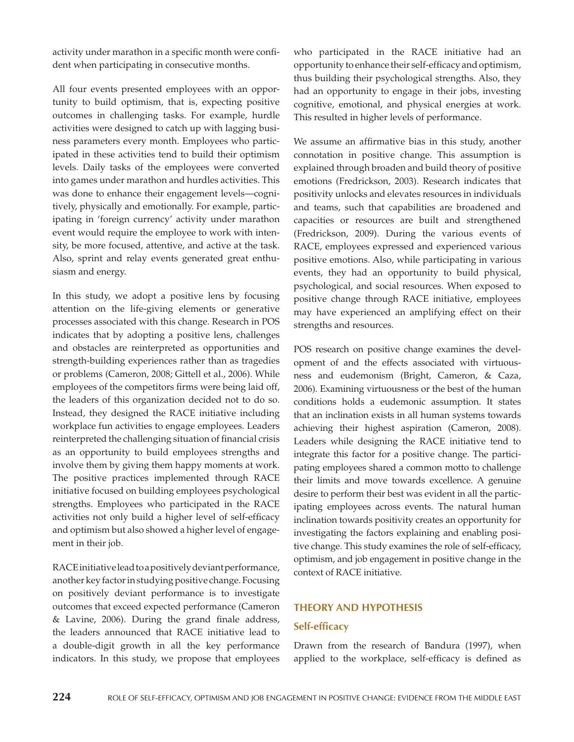activity under marathon in a specific month were confident when participating in consecutive months.

All four events presented employees with an opportunity to build optimism, that is, expecting positive outcomes in challenging tasks. For example, hurdle activities were designed to catch up with lagging business parameters every month. Employees who participated in these activities tend to build their optimism levels. Daily tasks of the employees were converted into games under marathon and hurdles activities. This was done to enhance their engagement levels—cognitively, physically and emotionally. For example, participating in 'foreign currency' activity under marathon event would require the employee to work with intensity, be more focused, attentive, and active at the task. Also, sprint and relay events generated great enthusiasm and energy.

In this study, we adopt a positive lens by focusing attention on the life-giving elements or generative processes associated with this change. Research in POS indicates that by adopting a positive lens, challenges and obstacles are reinterpreted as opportunities and strength-building experiences rather than as tragedies or problems (Cameron, 2008; Gittell et al., 2006). While employees of the competitors firms were being laid off, the leaders of this organization decided not to do so. Instead, they designed the RACE initiative including workplace fun activities to engage employees. Leaders reinterpreted the challenging situation of financial crisis as an opportunity to build employees strengths and involve them by giving them happy moments at work. The positive practices implemented through RACE initiative focused on building employees psychological strengths. Employees who participated in the RACE activities not only build a higher level of self-efficacy and optimism but also showed a higher level of engagement in their job.

RACE initiative lead to a positively deviant performance, another key factor in studying positive change. Focusing on positively deviant performance is to investigate outcomes that exceed expected performance (Cameron & Lavine, 2006). During the grand finale address, the leaders announced that RACE initiative lead to a double-digit growth in all the key performance indicators. In this study, we propose that employees who participated in the RACE initiative had an opportunity to enhance their self-efficacy and optimism, thus building their psychological strengths. Also, they had an opportunity to engage in their jobs, investing cognitive, emotional, and physical energies at work. This resulted in higher levels of performance.

We assume an affirmative bias in this study, another connotation in positive change. This assumption is explained through broaden and build theory of positive emotions (Fredrickson, 2003). Research indicates that positivity unlocks and elevates resources in individuals and teams, such that capabilities are broadened and capacities or resources are built and strengthened (Fredrickson, 2009). During the various events of RACE, employees expressed and experienced various positive emotions. Also, while participating in various events, they had an opportunity to build physical, psychological, and social resources. When exposed to positive change through RACE initiative, employees may have experienced an amplifying effect on their strengths and resources.

POS research on positive change examines the development of and the effects associated with virtuousness and eudemonism (Bright, Cameron, & Caza, 2006). Examining virtuousness or the best of the human conditions holds a eudemonic assumption. It states that an inclination exists in all human systems towards achieving their highest aspiration (Cameron, 2008). Leaders while designing the RACE initiative tend to integrate this factor for a positive change. The participating employees shared a common motto to challenge their limits and move towards excellence. A genuine desire to perform their best was evident in all the participating employees across events. The natural human inclination towards positivity creates an opportunity for investigating the factors explaining and enabling positive change. This study examines the role of self-efficacy, optimism, and job engagement in positive change in the context of RACE initiative.

# **THEORY AND HYPOTHESIS Self-efficacy**

Drawn from the research of Bandura (1997), when applied to the workplace, self-efficacy is defined as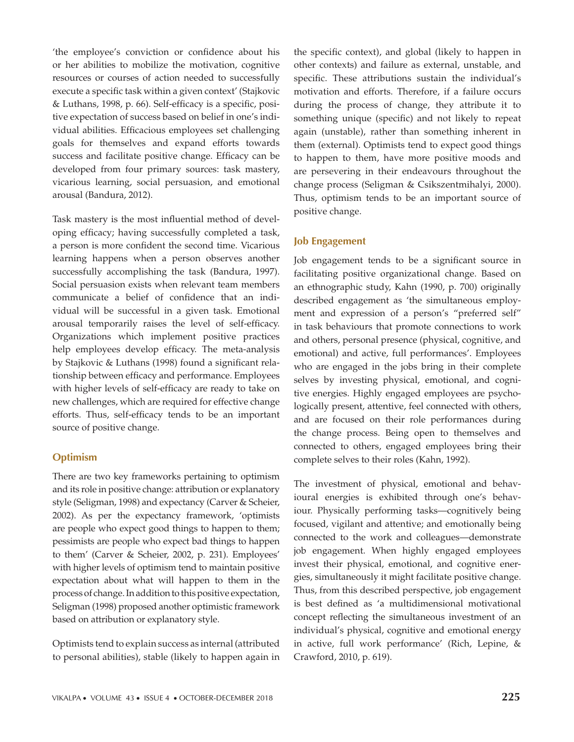'the employee's conviction or confidence about his or her abilities to mobilize the motivation, cognitive resources or courses of action needed to successfully execute a specific task within a given context' (Stajkovic & Luthans, 1998, p. 66). Self-efficacy is a specific, positive expectation of success based on belief in one's individual abilities. Efficacious employees set challenging goals for themselves and expand efforts towards success and facilitate positive change. Efficacy can be developed from four primary sources: task mastery, vicarious learning, social persuasion, and emotional arousal (Bandura, 2012).

Task mastery is the most influential method of developing efficacy; having successfully completed a task, a person is more confident the second time. Vicarious learning happens when a person observes another successfully accomplishing the task (Bandura, 1997). Social persuasion exists when relevant team members communicate a belief of confidence that an individual will be successful in a given task. Emotional arousal temporarily raises the level of self-efficacy. Organizations which implement positive practices help employees develop efficacy. The meta-analysis by Stajkovic & Luthans (1998) found a significant relationship between efficacy and performance. Employees with higher levels of self-efficacy are ready to take on new challenges, which are required for effective change efforts. Thus, self-efficacy tends to be an important source of positive change.

## **Optimism**

There are two key frameworks pertaining to optimism and its role in positive change: attribution or explanatory style (Seligman, 1998) and expectancy (Carver & Scheier, 2002). As per the expectancy framework, 'optimists are people who expect good things to happen to them; pessimists are people who expect bad things to happen to them' (Carver & Scheier, 2002, p. 231). Employees' with higher levels of optimism tend to maintain positive expectation about what will happen to them in the process of change. In addition to this positive expectation, Seligman (1998) proposed another optimistic framework based on attribution or explanatory style.

Optimists tend to explain success as internal (attributed to personal abilities), stable (likely to happen again in

the specific context), and global (likely to happen in other contexts) and failure as external, unstable, and specific. These attributions sustain the individual's motivation and efforts. Therefore, if a failure occurs during the process of change, they attribute it to something unique (specific) and not likely to repeat again (unstable), rather than something inherent in them (external). Optimists tend to expect good things to happen to them, have more positive moods and are persevering in their endeavours throughout the change process (Seligman & Csikszentmihalyi, 2000). Thus, optimism tends to be an important source of positive change.

# **Job Engagement**

Job engagement tends to be a significant source in facilitating positive organizational change. Based on an ethnographic study, Kahn (1990, p. 700) originally described engagement as 'the simultaneous employment and expression of a person's "preferred self" in task behaviours that promote connections to work and others, personal presence (physical, cognitive, and emotional) and active, full performances'. Employees who are engaged in the jobs bring in their complete selves by investing physical, emotional, and cognitive energies. Highly engaged employees are psychologically present, attentive, feel connected with others, and are focused on their role performances during the change process. Being open to themselves and connected to others, engaged employees bring their complete selves to their roles (Kahn, 1992).

The investment of physical, emotional and behavioural energies is exhibited through one's behaviour. Physically performing tasks—cognitively being focused, vigilant and attentive; and emotionally being connected to the work and colleagues—demonstrate job engagement. When highly engaged employees invest their physical, emotional, and cognitive energies, simultaneously it might facilitate positive change. Thus, from this described perspective, job engagement is best defined as 'a multidimensional motivational concept reflecting the simultaneous investment of an individual's physical, cognitive and emotional energy in active, full work performance' (Rich, Lepine, & Crawford, 2010, p. 619).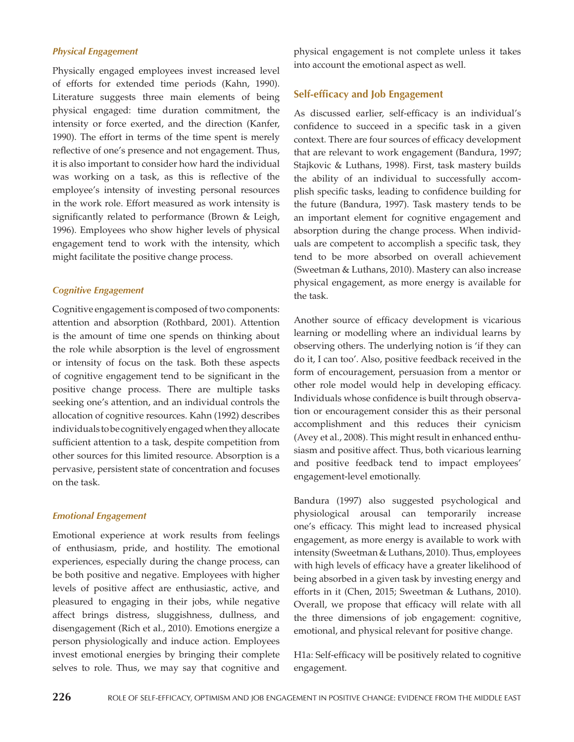### *Physical Engagement*

Physically engaged employees invest increased level of efforts for extended time periods (Kahn, 1990). Literature suggests three main elements of being physical engaged: time duration commitment, the intensity or force exerted, and the direction (Kanfer, 1990). The effort in terms of the time spent is merely reflective of one's presence and not engagement. Thus, it is also important to consider how hard the individual was working on a task, as this is reflective of the employee's intensity of investing personal resources in the work role. Effort measured as work intensity is significantly related to performance (Brown & Leigh, 1996). Employees who show higher levels of physical engagement tend to work with the intensity, which might facilitate the positive change process.

#### *Cognitive Engagement*

Cognitive engagement is composed of two components: attention and absorption (Rothbard, 2001). Attention is the amount of time one spends on thinking about the role while absorption is the level of engrossment or intensity of focus on the task. Both these aspects of cognitive engagement tend to be significant in the positive change process. There are multiple tasks seeking one's attention, and an individual controls the allocation of cognitive resources. Kahn (1992) describes individuals to be cognitively engaged when they allocate sufficient attention to a task, despite competition from other sources for this limited resource. Absorption is a pervasive, persistent state of concentration and focuses on the task.

#### *Emotional Engagement*

Emotional experience at work results from feelings of enthusiasm, pride, and hostility. The emotional experiences, especially during the change process, can be both positive and negative. Employees with higher levels of positive affect are enthusiastic, active, and pleasured to engaging in their jobs, while negative affect brings distress, sluggishness, dullness, and disengagement (Rich et al., 2010). Emotions energize a person physiologically and induce action. Employees invest emotional energies by bringing their complete selves to role. Thus, we may say that cognitive and

physical engagement is not complete unless it takes into account the emotional aspect as well.

### **Self-efficacy and Job Engagement**

As discussed earlier, self-efficacy is an individual's confidence to succeed in a specific task in a given context. There are four sources of efficacy development that are relevant to work engagement (Bandura, 1997; Stajkovic & Luthans, 1998). First, task mastery builds the ability of an individual to successfully accomplish specific tasks, leading to confidence building for the future (Bandura, 1997). Task mastery tends to be an important element for cognitive engagement and absorption during the change process. When individuals are competent to accomplish a specific task, they tend to be more absorbed on overall achievement (Sweetman & Luthans, 2010). Mastery can also increase physical engagement, as more energy is available for the task.

Another source of efficacy development is vicarious learning or modelling where an individual learns by observing others. The underlying notion is 'if they can do it, I can too'. Also, positive feedback received in the form of encouragement, persuasion from a mentor or other role model would help in developing efficacy. Individuals whose confidence is built through observation or encouragement consider this as their personal accomplishment and this reduces their cynicism (Avey et al., 2008). This might result in enhanced enthusiasm and positive affect. Thus, both vicarious learning and positive feedback tend to impact employees' engagement-level emotionally.

Bandura (1997) also suggested psychological and physiological arousal can temporarily increase one's efficacy. This might lead to increased physical engagement, as more energy is available to work with intensity (Sweetman & Luthans, 2010). Thus, employees with high levels of efficacy have a greater likelihood of being absorbed in a given task by investing energy and efforts in it (Chen, 2015; Sweetman & Luthans, 2010). Overall, we propose that efficacy will relate with all the three dimensions of job engagement: cognitive, emotional, and physical relevant for positive change.

H1a: Self-efficacy will be positively related to cognitive engagement.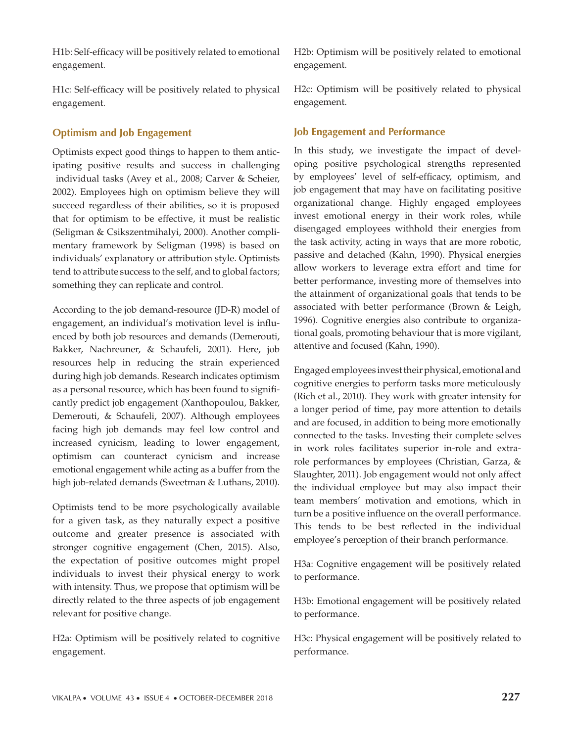H1b: Self-efficacy will be positively related to emotional engagement.

H1c: Self-efficacy will be positively related to physical engagement.

# **Optimism and Job Engagement**

Optimists expect good things to happen to them anticipating positive results and success in challenging individual tasks (Avey et al., 2008; Carver & Scheier, 2002). Employees high on optimism believe they will succeed regardless of their abilities, so it is proposed that for optimism to be effective, it must be realistic (Seligman & Csikszentmihalyi, 2000). Another complimentary framework by Seligman (1998) is based on individuals' explanatory or attribution style. Optimists tend to attribute success to the self, and to global factors; something they can replicate and control.

According to the job demand-resource (JD-R) model of engagement, an individual's motivation level is influenced by both job resources and demands (Demerouti, Bakker, Nachreuner, & Schaufeli, 2001). Here, job resources help in reducing the strain experienced during high job demands. Research indicates optimism as a personal resource, which has been found to significantly predict job engagement (Xanthopoulou, Bakker, Demerouti, & Schaufeli, 2007). Although employees facing high job demands may feel low control and increased cynicism, leading to lower engagement, optimism can counteract cynicism and increase emotional engagement while acting as a buffer from the high job-related demands (Sweetman & Luthans, 2010).

Optimists tend to be more psychologically available for a given task, as they naturally expect a positive outcome and greater presence is associated with stronger cognitive engagement (Chen, 2015). Also, the expectation of positive outcomes might propel individuals to invest their physical energy to work with intensity. Thus, we propose that optimism will be directly related to the three aspects of job engagement relevant for positive change.

H2a: Optimism will be positively related to cognitive engagement.

H2b: Optimism will be positively related to emotional engagement.

H2c: Optimism will be positively related to physical engagement.

# **Job Engagement and Performance**

In this study, we investigate the impact of developing positive psychological strengths represented by employees' level of self-efficacy, optimism, and job engagement that may have on facilitating positive organizational change. Highly engaged employees invest emotional energy in their work roles, while disengaged employees withhold their energies from the task activity, acting in ways that are more robotic, passive and detached (Kahn, 1990). Physical energies allow workers to leverage extra effort and time for better performance, investing more of themselves into the attainment of organizational goals that tends to be associated with better performance (Brown & Leigh, 1996). Cognitive energies also contribute to organizational goals, promoting behaviour that is more vigilant, attentive and focused (Kahn, 1990).

Engaged employees invest their physical, emotional and cognitive energies to perform tasks more meticulously (Rich et al., 2010). They work with greater intensity for a longer period of time, pay more attention to details and are focused, in addition to being more emotionally connected to the tasks. Investing their complete selves in work roles facilitates superior in-role and extrarole performances by employees (Christian, Garza, & Slaughter, 2011). Job engagement would not only affect the individual employee but may also impact their team members' motivation and emotions, which in turn be a positive influence on the overall performance. This tends to be best reflected in the individual employee's perception of their branch performance.

H3a: Cognitive engagement will be positively related to performance.

H3b: Emotional engagement will be positively related to performance.

H3c: Physical engagement will be positively related to performance.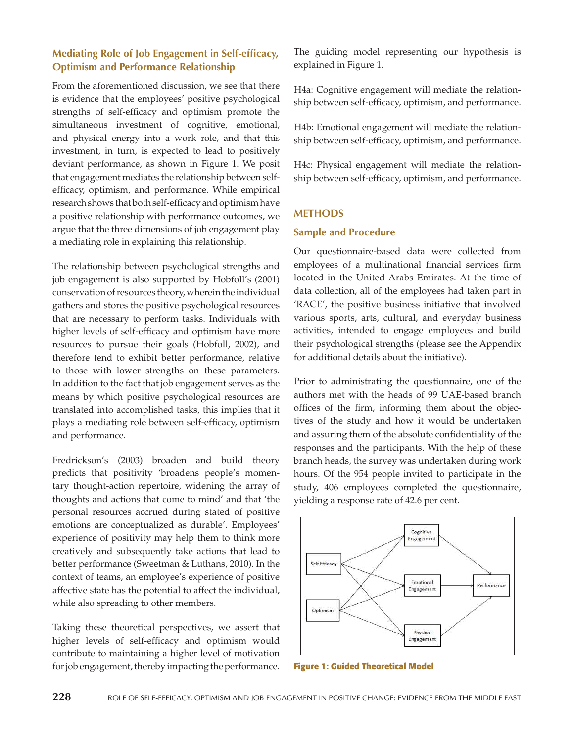# **Mediating Role of Job Engagement in Self-efficacy, Optimism and Performance Relationship**

From the aforementioned discussion, we see that there is evidence that the employees' positive psychological strengths of self-efficacy and optimism promote the simultaneous investment of cognitive, emotional, and physical energy into a work role, and that this investment, in turn, is expected to lead to positively deviant performance, as shown in Figure 1. We posit that engagement mediates the relationship between selfefficacy, optimism, and performance. While empirical research shows that both self-efficacy and optimism have a positive relationship with performance outcomes, we argue that the three dimensions of job engagement play a mediating role in explaining this relationship.

The relationship between psychological strengths and job engagement is also supported by Hobfoll's (2001) conservation of resources theory, wherein the individual gathers and stores the positive psychological resources that are necessary to perform tasks. Individuals with higher levels of self-efficacy and optimism have more resources to pursue their goals (Hobfoll, 2002), and therefore tend to exhibit better performance, relative to those with lower strengths on these parameters. In addition to the fact that job engagement serves as the means by which positive psychological resources are translated into accomplished tasks, this implies that it plays a mediating role between self-efficacy, optimism and performance.

Fredrickson's (2003) broaden and build theory predicts that positivity 'broadens people's momentary thought-action repertoire, widening the array of thoughts and actions that come to mind' and that 'the personal resources accrued during stated of positive emotions are conceptualized as durable'. Employees' experience of positivity may help them to think more creatively and subsequently take actions that lead to better performance (Sweetman & Luthans, 2010). In the context of teams, an employee's experience of positive affective state has the potential to affect the individual, while also spreading to other members.

Taking these theoretical perspectives, we assert that higher levels of self-efficacy and optimism would contribute to maintaining a higher level of motivation for job engagement, thereby impacting the performance.

The guiding model representing our hypothesis is explained in Figure 1.

H4a: Cognitive engagement will mediate the relationship between self-efficacy, optimism, and performance.

H4b: Emotional engagement will mediate the relationship between self-efficacy, optimism, and performance.

H4c: Physical engagement will mediate the relationship between self-efficacy, optimism, and performance.

# **METHODS**

## **Sample and Procedure**

Our questionnaire-based data were collected from employees of a multinational financial services firm located in the United Arabs Emirates. At the time of data collection, all of the employees had taken part in 'RACE', the positive business initiative that involved various sports, arts, cultural, and everyday business activities, intended to engage employees and build their psychological strengths (please see the Appendix for additional details about the initiative).

Prior to administrating the questionnaire, one of the authors met with the heads of 99 UAE-based branch offices of the firm, informing them about the objectives of the study and how it would be undertaken and assuring them of the absolute confidentiality of the responses and the participants. With the help of these branch heads, the survey was undertaken during work hours. Of the 954 people invited to participate in the study, 406 employees completed the questionnaire, yielding a response rate of 42.6 per cent.



**Figure 1: Guided Theoretical Model**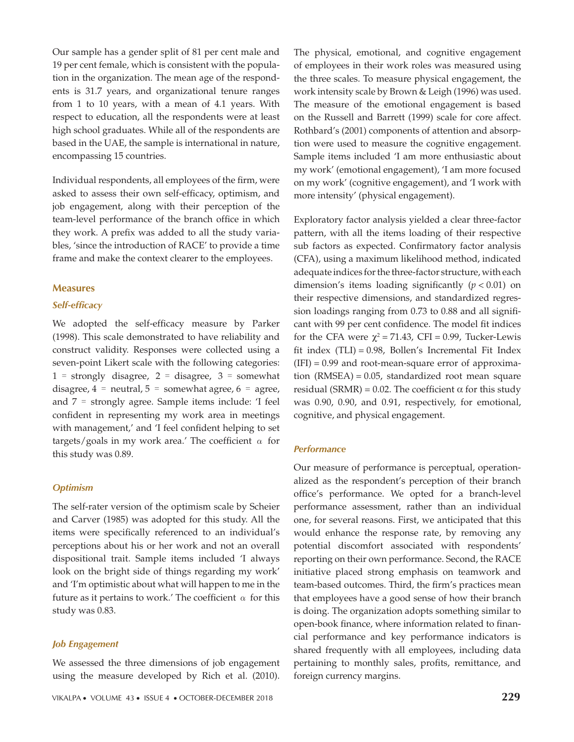Our sample has a gender split of 81 per cent male and 19 per cent female, which is consistent with the population in the organization. The mean age of the respondents is 31.7 years, and organizational tenure ranges from 1 to 10 years, with a mean of 4.1 years. With respect to education, all the respondents were at least high school graduates. While all of the respondents are based in the UAE, the sample is international in nature, encompassing 15 countries.

Individual respondents, all employees of the firm, were asked to assess their own self-efficacy, optimism, and job engagement, along with their perception of the team-level performance of the branch office in which they work. A prefix was added to all the study variables, 'since the introduction of RACE' to provide a time frame and make the context clearer to the employees.

#### **Measures**

#### *Self-efficacy*

We adopted the self-efficacy measure by Parker (1998). This scale demonstrated to have reliability and construct validity. Responses were collected using a seven-point Likert scale with the following categories:  $1 =$  strongly disagree,  $2 =$  disagree,  $3 =$  somewhat disagree,  $4 =$  neutral,  $5 =$  somewhat agree,  $6 =$  agree, and 7 = strongly agree. Sample items include: 'I feel confident in representing my work area in meetings with management,' and 'I feel confident helping to set targets/goals in my work area.' The coefficient  $\alpha$  for this study was 0.89.

#### *Optimism*

The self-rater version of the optimism scale by Scheier and Carver (1985) was adopted for this study. All the items were specifically referenced to an individual's perceptions about his or her work and not an overall dispositional trait. Sample items included 'I always look on the bright side of things regarding my work' and 'I'm optimistic about what will happen to me in the future as it pertains to work.' The coefficient  $\alpha$  for this study was 0.83.

#### *Job Engagement*

We assessed the three dimensions of job engagement using the measure developed by Rich et al. (2010). The physical, emotional, and cognitive engagement of employees in their work roles was measured using the three scales. To measure physical engagement, the work intensity scale by Brown & Leigh (1996) was used. The measure of the emotional engagement is based on the Russell and Barrett (1999) scale for core affect. Rothbard's (2001) components of attention and absorption were used to measure the cognitive engagement. Sample items included 'I am more enthusiastic about my work' (emotional engagement), 'I am more focused on my work' (cognitive engagement), and 'I work with more intensity' (physical engagement).

Exploratory factor analysis yielded a clear three-factor pattern, with all the items loading of their respective sub factors as expected. Confirmatory factor analysis (CFA), using a maximum likelihood method, indicated adequate indices for the three-factor structure, with each dimension's items loading significantly (*p* < 0.01) on their respective dimensions, and standardized regression loadings ranging from 0.73 to 0.88 and all significant with 99 per cent confidence. The model fit indices for the CFA were  $\chi^2$  = 71.43, CFI = 0.99, Tucker-Lewis fit index (TLI) = 0.98, Bollen's Incremental Fit Index  $(IFI) = 0.99$  and root-mean-square error of approximation (RMSEA) = 0.05, standardized root mean square residual (SRMR) = 0.02. The coefficient  $\alpha$  for this study was 0.90, 0.90, and 0.91, respectively, for emotional, cognitive, and physical engagement.

### *Performance*

Our measure of performance is perceptual, operationalized as the respondent's perception of their branch office's performance. We opted for a branch-level performance assessment, rather than an individual one, for several reasons. First, we anticipated that this would enhance the response rate, by removing any potential discomfort associated with respondents' reporting on their own performance. Second, the RACE initiative placed strong emphasis on teamwork and team-based outcomes. Third, the firm's practices mean that employees have a good sense of how their branch is doing. The organization adopts something similar to open-book finance, where information related to financial performance and key performance indicators is shared frequently with all employees, including data pertaining to monthly sales, profits, remittance, and foreign currency margins.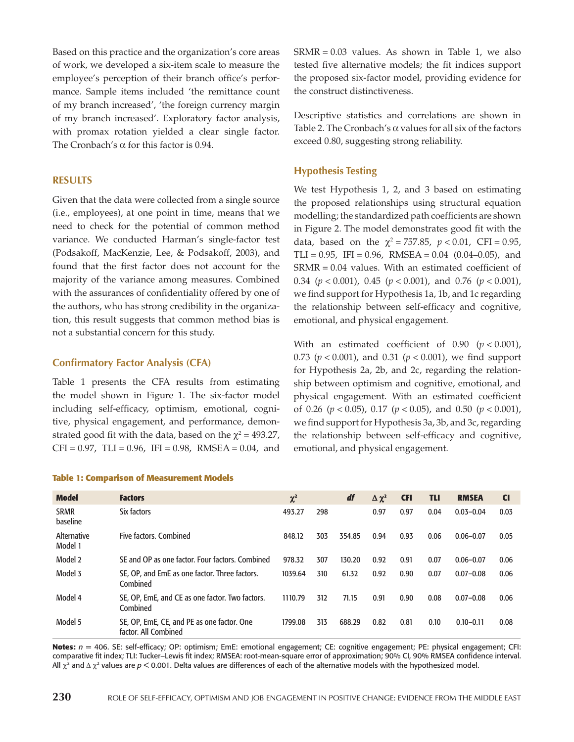Based on this practice and the organization's core areas of work, we developed a six-item scale to measure the employee's perception of their branch office's performance. Sample items included 'the remittance count of my branch increased', 'the foreign currency margin of my branch increased'. Exploratory factor analysis, with promax rotation yielded a clear single factor. The Cronbach's  $\alpha$  for this factor is 0.94.

## **RESULTS**

Given that the data were collected from a single source (i.e., employees), at one point in time, means that we need to check for the potential of common method variance. We conducted Harman's single-factor test (Podsakoff, MacKenzie, Lee, & Podsakoff, 2003), and found that the first factor does not account for the majority of the variance among measures. Combined with the assurances of confidentiality offered by one of the authors, who has strong credibility in the organization, this result suggests that common method bias is not a substantial concern for this study.

# **Confirmatory Factor Analysis (CFA)**

Table 1 presents the CFA results from estimating the model shown in Figure 1. The six-factor model including self-efficacy, optimism, emotional, cognitive, physical engagement, and performance, demonstrated good fit with the data, based on the  $\chi^2 = 493.27$ ,  $CFI = 0.97$ ,  $TLI = 0.96$ ,  $IFI = 0.98$ ,  $RMSEA = 0.04$ , and

 $SRMR = 0.03$  values. As shown in Table 1, we also tested five alternative models; the fit indices support the proposed six-factor model, providing evidence for the construct distinctiveness.

Descriptive statistics and correlations are shown in Table 2. The Cronbach's  $\alpha$  values for all six of the factors exceed 0.80, suggesting strong reliability.

# **Hypothesis Testing**

We test Hypothesis 1, 2, and 3 based on estimating the proposed relationships using structural equation modelling; the standardized path coefficients are shown in Figure 2. The model demonstrates good fit with the data, based on the  $\chi^2 = 757.85$ ,  $p < 0.01$ , CFI = 0.95, TLI =  $0.95$ , IFI =  $0.96$ , RMSEA =  $0.04$  (0.04– $0.05$ ), and SRMR = 0.04 values. With an estimated coefficient of 0.34 (*p* < 0.001), 0.45 (*p* < 0.001), and 0.76 (*p* < 0.001), we find support for Hypothesis 1a, 1b, and 1c regarding the relationship between self-efficacy and cognitive, emotional, and physical engagement.

With an estimated coefficient of  $0.90$   $(p < 0.001)$ , 0.73 (*p* < 0.001), and 0.31 (*p* < 0.001), we find support for Hypothesis 2a, 2b, and 2c, regarding the relationship between optimism and cognitive, emotional, and physical engagement. With an estimated coefficient of 0.26 (*p* < 0.05), 0.17 (*p* < 0.05), and 0.50 (*p* < 0.001), we find support for Hypothesis 3a, 3b, and 3c, regarding the relationship between self-efficacy and cognitive, emotional, and physical engagement.

| <b>Model</b>            | <b>Factors</b>                                                     | $\chi^2$ |     | df     | $\Delta \chi^2$ | <b>CFI</b> | TLI  | <b>RMSEA</b>  | <b>CI</b> |
|-------------------------|--------------------------------------------------------------------|----------|-----|--------|-----------------|------------|------|---------------|-----------|
| <b>SRMR</b><br>baseline | Six factors                                                        | 493.27   | 298 |        | 0.97            | 0.97       | 0.04 | $0.03 - 0.04$ | 0.03      |
| Alternative<br>Model 1  | Five factors, Combined                                             | 848.12   | 303 | 354.85 | 0.94            | 0.93       | 0.06 | $0.06 - 0.07$ | 0.05      |
| Model 2                 | SE and OP as one factor. Four factors, Combined                    | 978.32   | 307 | 130.20 | 0.92            | 0.91       | 0.07 | $0.06 - 0.07$ | 0.06      |
| Model 3                 | SE, OP, and EmE as one factor. Three factors.<br>Combined          | 1039.64  | 310 | 61.32  | 0.92            | 0.90       | 0.07 | $0.07 - 0.08$ | 0.06      |
| Model 4                 | SE, OP, EmE, and CE as one factor. Two factors.<br>Combined        | 1110.79  | 312 | 71.15  | 0.91            | 0.90       | 0.08 | $0.07 - 0.08$ | 0.06      |
| Model 5                 | SE, OP, EmE, CE, and PE as one factor. One<br>factor. All Combined | 1799.08  | 313 | 688.29 | 0.82            | 0.81       | 0.10 | $0.10 - 0.11$ | 0.08      |

#### **Table 1: Comparison of Measurement Models**

**Notes:** *n* = 406. SE: self-efficacy; OP: optimism; EmE: emotional engagement; CE: cognitive engagement; PE: physical engagement; CFI: comparative fit index; TLI: Tucker–Lewis fit index; RMSEA: root-mean-square error of approximation; 90% CI, 90% RMSEA confidence interval. All  $\chi^2$  and  $\Delta$   $\chi^2$  values are  $\rho$   $<$  0.001. Delta values are differences of each of the alternative models with the hypothesized model.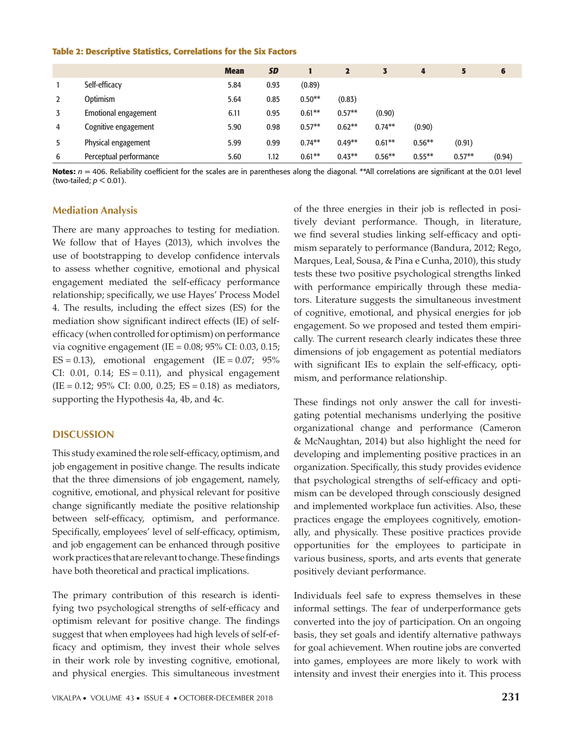#### **Table 2: Descriptive Statistics, Correlations for the Six Factors**

|   |                        | <b>Mean</b> | <b>SD</b> |          | $\mathbf{2}$ | 3         | 4         | 5        | 6      |
|---|------------------------|-------------|-----------|----------|--------------|-----------|-----------|----------|--------|
|   | Self-efficacy          | 5.84        | 0.93      | (0.89)   |              |           |           |          |        |
|   | Optimism               | 5.64        | 0.85      | $0.50**$ | (0.83)       |           |           |          |        |
|   | Emotional engagement   | 6.11        | 0.95      | $0.61**$ | $0.57**$     | (0.90)    |           |          |        |
| 4 | Cognitive engagement   | 5.90        | 0.98      | $0.57**$ | $0.62**$     | $0.74***$ | (0.90)    |          |        |
|   | Physical engagement    | 5.99        | 0.99      | $0.74**$ | $0.49**$     | $0.61**$  | $0.56**$  | (0.91)   |        |
| 6 | Perceptual performance | 5.60        | 1.12      | $0.61**$ | $0.43***$    | $0.56***$ | $0.55***$ | $0.57**$ | (0.94) |

Notes:  $n = 406$ . Reliability coefficient for the scales are in parentheses along the diagonal. \*\*All correlations are significant at the 0.01 level (two-tailed; *p* < 0.01).

### **Mediation Analysis**

There are many approaches to testing for mediation. We follow that of Hayes (2013), which involves the use of bootstrapping to develop confidence intervals to assess whether cognitive, emotional and physical engagement mediated the self-efficacy performance relationship; specifically, we use Hayes' Process Model 4. The results, including the effect sizes (ES) for the mediation show significant indirect effects (IE) of selfefficacy (when controlled for optimism) on performance via cognitive engagement (IE = 0.08; 95% CI: 0.03, 0.15;  $ES = 0.13$ ), emotional engagement (IE = 0.07; 95%) CI:  $0.01$ ,  $0.14$ ;  $ES = 0.11$ ), and physical engagement (IE = 0.12;  $95\%$  CI: 0.00, 0.25; ES = 0.18) as mediators, supporting the Hypothesis 4a, 4b, and 4c.

### **DISCUSSION**

This study examined the role self-efficacy, optimism, and job engagement in positive change. The results indicate that the three dimensions of job engagement, namely, cognitive, emotional, and physical relevant for positive change significantly mediate the positive relationship between self-efficacy, optimism, and performance. Specifically, employees' level of self-efficacy, optimism, and job engagement can be enhanced through positive work practices that are relevant to change. These findings have both theoretical and practical implications.

The primary contribution of this research is identifying two psychological strengths of self-efficacy and optimism relevant for positive change. The findings suggest that when employees had high levels of self-efficacy and optimism, they invest their whole selves in their work role by investing cognitive, emotional, and physical energies. This simultaneous investment

of the three energies in their job is reflected in positively deviant performance. Though, in literature, we find several studies linking self-efficacy and optimism separately to performance (Bandura, 2012; Rego, Marques, Leal, Sousa, & Pina e Cunha, 2010), this study tests these two positive psychological strengths linked with performance empirically through these mediators. Literature suggests the simultaneous investment of cognitive, emotional, and physical energies for job engagement. So we proposed and tested them empirically. The current research clearly indicates these three dimensions of job engagement as potential mediators with significant IEs to explain the self-efficacy, optimism, and performance relationship.

These findings not only answer the call for investigating potential mechanisms underlying the positive organizational change and performance (Cameron & McNaughtan, 2014) but also highlight the need for developing and implementing positive practices in an organization. Specifically, this study provides evidence that psychological strengths of self-efficacy and optimism can be developed through consciously designed and implemented workplace fun activities. Also, these practices engage the employees cognitively, emotionally, and physically. These positive practices provide opportunities for the employees to participate in various business, sports, and arts events that generate positively deviant performance.

Individuals feel safe to express themselves in these informal settings. The fear of underperformance gets converted into the joy of participation. On an ongoing basis, they set goals and identify alternative pathways for goal achievement. When routine jobs are converted into games, employees are more likely to work with intensity and invest their energies into it. This process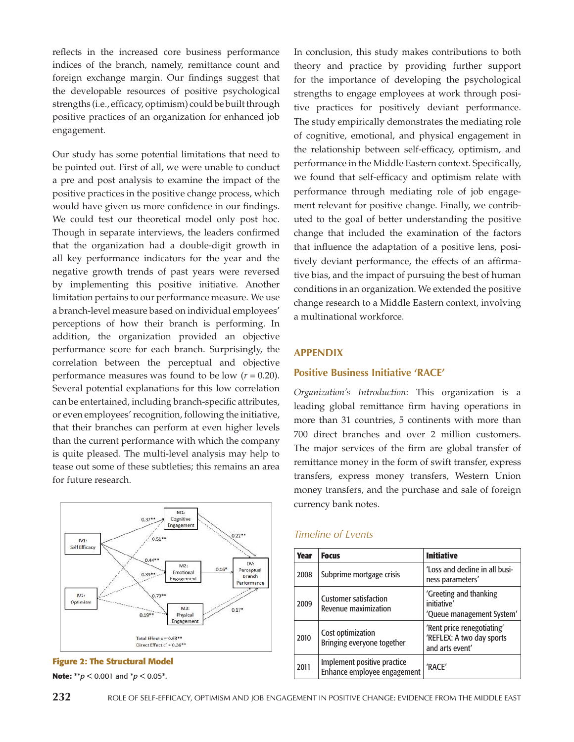reflects in the increased core business performance indices of the branch, namely, remittance count and foreign exchange margin. Our findings suggest that the developable resources of positive psychological strengths (i.e., efficacy, optimism) could be built through positive practices of an organization for enhanced job engagement.

Our study has some potential limitations that need to be pointed out. First of all, we were unable to conduct a pre and post analysis to examine the impact of the positive practices in the positive change process, which would have given us more confidence in our findings. We could test our theoretical model only post hoc. Though in separate interviews, the leaders confirmed that the organization had a double-digit growth in all key performance indicators for the year and the negative growth trends of past years were reversed by implementing this positive initiative. Another limitation pertains to our performance measure. We use a branch-level measure based on individual employees' perceptions of how their branch is performing. In addition, the organization provided an objective performance score for each branch. Surprisingly, the correlation between the perceptual and objective performance measures was found to be low (*r* = 0.20). Several potential explanations for this low correlation can be entertained, including branch-specific attributes, or even employees' recognition, following the initiative, that their branches can perform at even higher levels than the current performance with which the company is quite pleased. The multi-level analysis may help to tease out some of these subtleties; this remains an area for future research.





In conclusion, this study makes contributions to both theory and practice by providing further support for the importance of developing the psychological strengths to engage employees at work through positive practices for positively deviant performance. The study empirically demonstrates the mediating role of cognitive, emotional, and physical engagement in the relationship between self-efficacy, optimism, and performance in the Middle Eastern context. Specifically, we found that self-efficacy and optimism relate with performance through mediating role of job engagement relevant for positive change. Finally, we contributed to the goal of better understanding the positive change that included the examination of the factors that influence the adaptation of a positive lens, positively deviant performance, the effects of an affirmative bias, and the impact of pursuing the best of human conditions in an organization. We extended the positive change research to a Middle Eastern context, involving a multinational workforce.

### **APPENDIX**

## **Positive Business Initiative 'RACE'**

*Organization's Introduction*: This organization is a leading global remittance firm having operations in more than 31 countries, 5 continents with more than 700 direct branches and over 2 million customers. The major services of the firm are global transfer of remittance money in the form of swift transfer, express transfers, express money transfers, Western Union money transfers, and the purchase and sale of foreign currency bank notes.

| <b>Timeline of Events</b> |  |  |
|---------------------------|--|--|

| <b>Year</b> | <b>Focus</b>                                               | <b>Initiative</b>                                                          |  |  |
|-------------|------------------------------------------------------------|----------------------------------------------------------------------------|--|--|
| 2008        | Subprime mortgage crisis                                   | 'I oss and decline in all busi-<br>ness parameters'                        |  |  |
| 2009        | <b>Customer satisfaction</b><br>Revenue maximization       | 'Greeting and thanking<br>initiative'<br>'Queue management System'         |  |  |
| 2010        | Cost optimization<br>Bringing everyone together            | 'Rent price renegotiating'<br>'REFLEX: A two day sports<br>and arts event' |  |  |
| 2011        | Implement positive practice<br>Enhance employee engagement | 'RACF'                                                                     |  |  |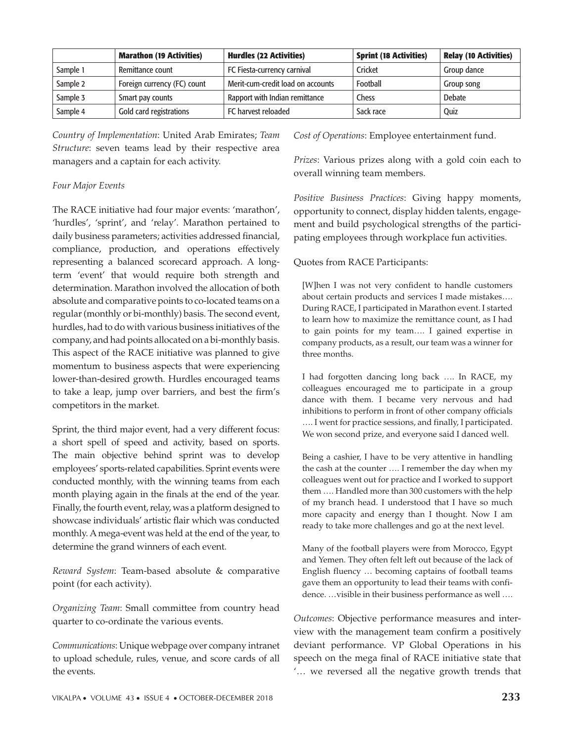|          | <b>Marathon (19 Activities)</b> | <b>Hurdles (22 Activities)</b>    | <b>Sprint (18 Activities)</b> | <b>Relay (10 Activities)</b> |
|----------|---------------------------------|-----------------------------------|-------------------------------|------------------------------|
| Sample 1 | Remittance count                | FC Fiesta-currency carnival       | Cricket                       | Group dance                  |
| Sample 2 | Foreign currency (FC) count     | Merit-cum-credit load on accounts | Football                      | Group song                   |
| Sample 3 | Smart pay counts                | Rapport with Indian remittance    | Chess                         | Debate                       |
| Sample 4 | Gold card registrations         | FC harvest reloaded               | Sack race                     | Ouiz                         |

*Country of Implementation*: United Arab Emirates; *Team Structure*: seven teams lead by their respective area managers and a captain for each activity.

### *Four Major Events*

The RACE initiative had four major events: 'marathon', 'hurdles', 'sprint', and 'relay'. Marathon pertained to daily business parameters; activities addressed financial, compliance, production, and operations effectively representing a balanced scorecard approach. A longterm 'event' that would require both strength and determination. Marathon involved the allocation of both absolute and comparative points to co-located teams on a regular (monthly or bi-monthly) basis. The second event, hurdles, had to do with various business initiatives of the company, and had points allocated on a bi-monthly basis. This aspect of the RACE initiative was planned to give momentum to business aspects that were experiencing lower-than-desired growth. Hurdles encouraged teams to take a leap, jump over barriers, and best the firm's competitors in the market.

Sprint, the third major event, had a very different focus: a short spell of speed and activity, based on sports. The main objective behind sprint was to develop employees' sports-related capabilities. Sprint events were conducted monthly, with the winning teams from each month playing again in the finals at the end of the year. Finally, the fourth event, relay, was a platform designed to showcase individuals' artistic flair which was conducted monthly. A mega-event was held at the end of the year, to determine the grand winners of each event.

*Reward System*: Team-based absolute & comparative point (for each activity).

*Organizing Team*: Small committee from country head quarter to co-ordinate the various events.

*Communications*: Unique webpage over company intranet to upload schedule, rules, venue, and score cards of all the events.

*Cost of Operations*: Employee entertainment fund.

*Prizes*: Various prizes along with a gold coin each to overall winning team members.

*Positive Business Practices*: Giving happy moments, opportunity to connect, display hidden talents, engagement and build psychological strengths of the participating employees through workplace fun activities.

### Quotes from RACE Participants:

[W]hen I was not very confident to handle customers about certain products and services I made mistakes…. During RACE, I participated in Marathon event. I started to learn how to maximize the remittance count, as I had to gain points for my team…. I gained expertise in company products, as a result, our team was a winner for three months.

I had forgotten dancing long back …. In RACE, my colleagues encouraged me to participate in a group dance with them. I became very nervous and had inhibitions to perform in front of other company officials …. I went for practice sessions, and finally, I participated. We won second prize, and everyone said I danced well.

Being a cashier, I have to be very attentive in handling the cash at the counter …. I remember the day when my colleagues went out for practice and I worked to support them …. Handled more than 300 customers with the help of my branch head. I understood that I have so much more capacity and energy than I thought. Now I am ready to take more challenges and go at the next level.

Many of the football players were from Morocco, Egypt and Yemen. They often felt left out because of the lack of English fluency … becoming captains of football teams gave them an opportunity to lead their teams with confidence. …visible in their business performance as well ….

*Outcomes*: Objective performance measures and interview with the management team confirm a positively deviant performance. VP Global Operations in his speech on the mega final of RACE initiative state that '… we reversed all the negative growth trends that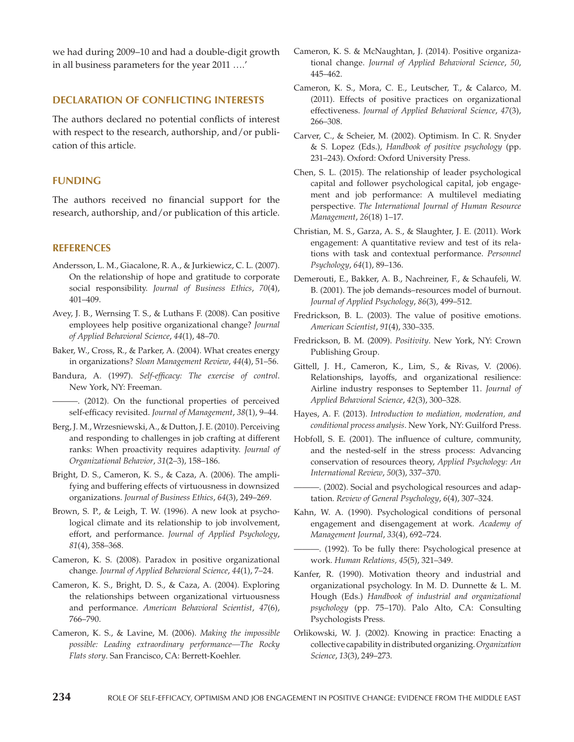we had during 2009–10 and had a double-digit growth in all business parameters for the year 2011 ….'

# **DEClARAtion oF ConFliCting intEREStS**

The authors declared no potential conflicts of interest with respect to the research, authorship, and/or publication of this article.

## **FunDing**

The authors received no financial support for the research, authorship, and/or publication of this article.

#### **REFEREnCES**

- Andersson, L. M., Giacalone, R. A., & Jurkiewicz, C. L. (2007). On the relationship of hope and gratitude to corporate social responsibility. *Journal of Business Ethics*, *70*(4), 401–409.
- Avey, J. B., Wernsing T. S., & Luthans F. (2008). Can positive employees help positive organizational change? *Journal of Applied Behavioral Science*, *44*(1), 48–70.
- Baker, W., Cross, R., & Parker, A. (2004). What creates energy in organizations? *Sloan Management Review*, *44*(4), 51–56.
- Bandura, A. (1997). *Self-efficacy: The exercise of control*. New York, NY: Freeman.

———. (2012). On the functional properties of perceived self-efficacy revisited. *Journal of Management*, *38*(1), 9–44.

- Berg, J. M., Wrzesniewski, A., & Dutton, J. E. (2010). Perceiving and responding to challenges in job crafting at different ranks: When proactivity requires adaptivity. *Journal of Organizational Behavior*, *31*(2–3), 158–186.
- Bright, D. S., Cameron, K. S., & Caza, A. (2006). The amplifying and buffering effects of virtuousness in downsized organizations. *Journal of Business Ethics*, *64*(3), 249–269.
- Brown, S. P., & Leigh, T. W. (1996). A new look at psychological climate and its relationship to job involvement, effort, and performance. *Journal of Applied Psychology*, *81*(4), 358–368.
- Cameron, K. S. (2008). Paradox in positive organizational change. *Journal of Applied Behavioral Science*, *44*(1), 7–24.
- Cameron, K. S., Bright, D. S., & Caza, A. (2004). Exploring the relationships between organizational virtuousness and performance. *American Behavioral Scientist*, *47*(6), 766–790.
- Cameron, K. S., & Lavine, M. (2006). *Making the impossible possible: Leading extraordinary performance—The Rocky Flats story*. San Francisco, CA: Berrett-Koehler.
- Cameron, K. S. & McNaughtan, J. (2014). Positive organizational change. *Journal of Applied Behavioral Science*, *50*, 445–462.
- Cameron, K. S., Mora, C. E., Leutscher, T., & Calarco, M. (2011). Effects of positive practices on organizational effectiveness. *Journal of Applied Behavioral Science*, *47*(3), 266–308.
- Carver, C., & Scheier, M. (2002). Optimism. In C. R. Snyder & S. Lopez (Eds.), *Handbook of positive psychology* (pp. 231–243). Oxford: Oxford University Press.
- Chen, S. L. (2015). The relationship of leader psychological capital and follower psychological capital, job engagement and job performance: A multilevel mediating perspective. *The International Journal of Human Resource Management*, *26*(18) 1–17.
- Christian, M. S., Garza, A. S., & Slaughter, J. E. (2011). Work engagement: A quantitative review and test of its relations with task and contextual performance. *Personnel Psychology*, *64*(1), 89–136.
- Demerouti, E., Bakker, A. B., Nachreiner, F., & Schaufeli, W. B. (2001). The job demands–resources model of burnout. *Journal of Applied Psychology*, *86*(3), 499–512.
- Fredrickson, B. L. (2003). The value of positive emotions. *American Scientist*, *91*(4), 330–335.
- Fredrickson, B. M. (2009). *Positivity*. New York, NY: Crown Publishing Group.
- Gittell, J. H., Cameron, K., Lim, S., & Rivas, V. (2006). Relationships, layoffs, and organizational resilience: Airline industry responses to September 11. *Journal of Applied Behavioral Science*, *42*(3), 300–328.
- Hayes, A. F. (2013). *Introduction to mediation, moderation, and conditional process analysis*. New York, NY: Guilford Press.
- Hobfoll, S. E. (2001). The influence of culture, community, and the nested-self in the stress process: Advancing conservation of resources theory, *Applied Psychology: An International Review*, *50*(3), 337–370.
- ———. (2002). Social and psychological resources and adaptation. *Review of General Psychology*, *6*(4), 307–324.
- Kahn, W. A. (1990). Psychological conditions of personal engagement and disengagement at work. *Academy of Management Journal*, *33*(4), 692–724.
- -. (1992). To be fully there: Psychological presence at work. *Human Relations, 45*(5), 321–349.
- Kanfer, R. (1990). Motivation theory and industrial and organizational psychology. In M. D. Dunnette & L. M. Hough (Eds.) *Handbook of industrial and organizational psychology* (pp. 75–170). Palo Alto, CA: Consulting Psychologists Press.
- Orlikowski, W. J. (2002). Knowing in practice: Enacting a collective capability in distributed organizing. *Organization Science*, *13*(3), 249–273.